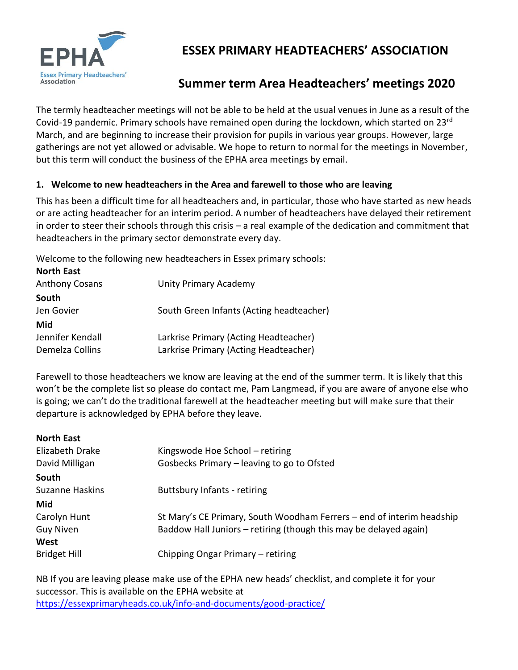

# **ESSEX PRIMARY HEADTEACHERS' ASSOCIATION**

# **Summer term Area Headteachers' meetings 2020**

The termly headteacher meetings will not be able to be held at the usual venues in June as a result of the Covid-19 pandemic. Primary schools have remained open during the lockdown, which started on 23rd March, and are beginning to increase their provision for pupils in various year groups. However, large gatherings are not yet allowed or advisable. We hope to return to normal for the meetings in November, but this term will conduct the business of the EPHA area meetings by email.

### **1. Welcome to new headteachers in the Area and farewell to those who are leaving**

This has been a difficult time for all headteachers and, in particular, those who have started as new heads or are acting headteacher for an interim period. A number of headteachers have delayed their retirement in order to steer their schools through this crisis – a real example of the dedication and commitment that headteachers in the primary sector demonstrate every day.

Welcome to the following new headteachers in Essex primary schools:

| <b>North East</b>     |                                          |
|-----------------------|------------------------------------------|
| <b>Anthony Cosans</b> | <b>Unity Primary Academy</b>             |
| South                 |                                          |
| Jen Govier            | South Green Infants (Acting headteacher) |
| Mid                   |                                          |
| Jennifer Kendall      | Larkrise Primary (Acting Headteacher)    |
| Demelza Collins       | Larkrise Primary (Acting Headteacher)    |
|                       |                                          |

Farewell to those headteachers we know are leaving at the end of the summer term. It is likely that this won't be the complete list so please do contact me, Pam Langmead, if you are aware of anyone else who is going; we can't do the traditional farewell at the headteacher meeting but will make sure that their departure is acknowledged by EPHA before they leave.

| <b>North East</b>      |                                                                       |  |
|------------------------|-----------------------------------------------------------------------|--|
| Elizabeth Drake        | Kingswode Hoe School - retiring                                       |  |
| David Milligan         | Gosbecks Primary – leaving to go to Ofsted                            |  |
| South                  |                                                                       |  |
| <b>Suzanne Haskins</b> | <b>Buttsbury Infants - retiring</b>                                   |  |
| Mid                    |                                                                       |  |
| Carolyn Hunt           | St Mary's CE Primary, South Woodham Ferrers – end of interim headship |  |
| Guy Niven              | Baddow Hall Juniors – retiring (though this may be delayed again)     |  |
| West                   |                                                                       |  |
| <b>Bridget Hill</b>    | Chipping Ongar Primary - retiring                                     |  |

NB If you are leaving please make use of the EPHA new heads' checklist, and complete it for your successor. This is available on the EPHA website at <https://essexprimaryheads.co.uk/info-and-documents/good-practice/>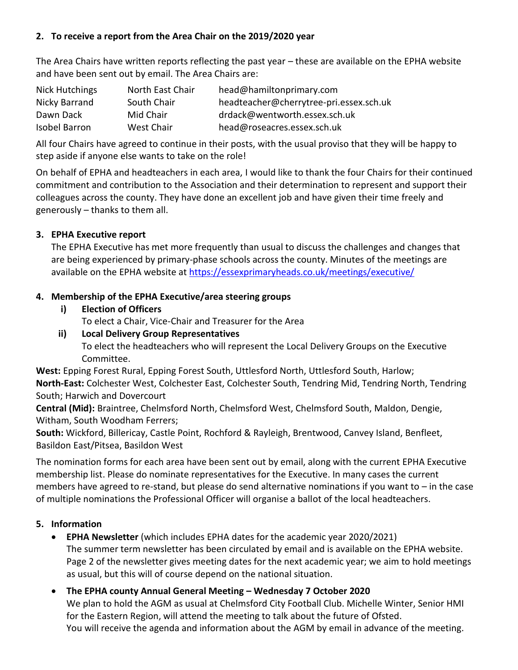### **2. To receive a report from the Area Chair on the 2019/2020 year**

The Area Chairs have written reports reflecting the past year – these are available on the EPHA website and have been sent out by email. The Area Chairs are:

| Nick Hutchings       | North East Chair | head@hamiltonprimary.com                |
|----------------------|------------------|-----------------------------------------|
| Nicky Barrand        | South Chair      | headteacher@cherrytree-pri.essex.sch.uk |
| Dawn Dack            | Mid Chair        | drdack@wentworth.essex.sch.uk           |
| <b>Isobel Barron</b> | West Chair       | head@roseacres.essex.sch.uk             |

All four Chairs have agreed to continue in their posts, with the usual proviso that they will be happy to step aside if anyone else wants to take on the role!

On behalf of EPHA and headteachers in each area, I would like to thank the four Chairs for their continued commitment and contribution to the Association and their determination to represent and support their colleagues across the county. They have done an excellent job and have given their time freely and generously – thanks to them all.

## **3. EPHA Executive report**

The EPHA Executive has met more frequently than usual to discuss the challenges and changes that are being experienced by primary-phase schools across the county. Minutes of the meetings are available on the EPHA website at<https://essexprimaryheads.co.uk/meetings/executive/>

## **4. Membership of the EPHA Executive/area steering groups**

- **i) Election of Officers**
	- To elect a Chair, Vice-Chair and Treasurer for the Area
- **ii) Local Delivery Group Representatives** To elect the headteachers who will represent the Local Delivery Groups on the Executive Committee.

**West:** Epping Forest Rural, Epping Forest South, Uttlesford North, Uttlesford South, Harlow; **North-East:** Colchester West, Colchester East, Colchester South, Tendring Mid, Tendring North, Tendring South; Harwich and Dovercourt

**Central (Mid):** Braintree, Chelmsford North, Chelmsford West, Chelmsford South, Maldon, Dengie, Witham, South Woodham Ferrers;

**South:** Wickford, Billericay, Castle Point, Rochford & Rayleigh, Brentwood, Canvey Island, Benfleet, Basildon East/Pitsea, Basildon West

The nomination forms for each area have been sent out by email, along with the current EPHA Executive membership list. Please do nominate representatives for the Executive. In many cases the current members have agreed to re-stand, but please do send alternative nominations if you want to – in the case of multiple nominations the Professional Officer will organise a ballot of the local headteachers.

### **5. Information**

- **EPHA Newsletter** (which includes EPHA dates for the academic year 2020/2021) The summer term newsletter has been circulated by email and is available on the EPHA website. Page 2 of the newsletter gives meeting dates for the next academic year; we aim to hold meetings as usual, but this will of course depend on the national situation.
- **The EPHA county Annual General Meeting – Wednesday 7 October 2020** We plan to hold the AGM as usual at Chelmsford City Football Club. Michelle Winter, Senior HMI for the Eastern Region, will attend the meeting to talk about the future of Ofsted. You will receive the agenda and information about the AGM by email in advance of the meeting.